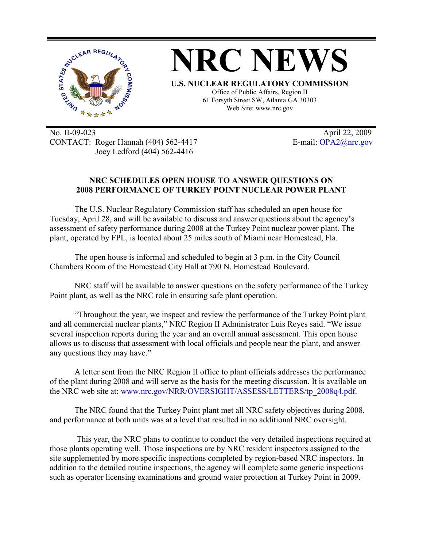

No. II-09-023 April 22, 2009 CONTACT: Roger Hannah (404) 562-4417 E-mail: OPA2@nrc.gov Joey Ledford (404) 562-4416

## **NRC SCHEDULES OPEN HOUSE TO ANSWER QUESTIONS ON 2008 PERFORMANCE OF TURKEY POINT NUCLEAR POWER PLANT**

The U.S. Nuclear Regulatory Commission staff has scheduled an open house for Tuesday, April 28, and will be available to discuss and answer questions about the agency's assessment of safety performance during 2008 at the Turkey Point nuclear power plant. The plant, operated by FPL, is located about 25 miles south of Miami near Homestead, Fla.

The open house is informal and scheduled to begin at 3 p.m. in the City Council Chambers Room of the Homestead City Hall at 790 N. Homestead Boulevard.

NRC staff will be available to answer questions on the safety performance of the Turkey Point plant, as well as the NRC role in ensuring safe plant operation.

"Throughout the year, we inspect and review the performance of the Turkey Point plant and all commercial nuclear plants," NRC Region II Administrator Luis Reyes said. "We issue several inspection reports during the year and an overall annual assessment. This open house allows us to discuss that assessment with local officials and people near the plant, and answer any questions they may have."

A letter sent from the NRC Region II office to plant officials addresses the performance of the plant during 2008 and will serve as the basis for the meeting discussion. It is available on the NRC web site at: www.nrc.gov/NRR/OVERSIGHT/ASSESS/LETTERS/tp\_2008q4.pdf.

The NRC found that the Turkey Point plant met all NRC safety objectives during 2008, and performance at both units was at a level that resulted in no additional NRC oversight.

 This year, the NRC plans to continue to conduct the very detailed inspections required at those plants operating well. Those inspections are by NRC resident inspectors assigned to the site supplemented by more specific inspections completed by region-based NRC inspectors. In addition to the detailed routine inspections, the agency will complete some generic inspections such as operator licensing examinations and ground water protection at Turkey Point in 2009.